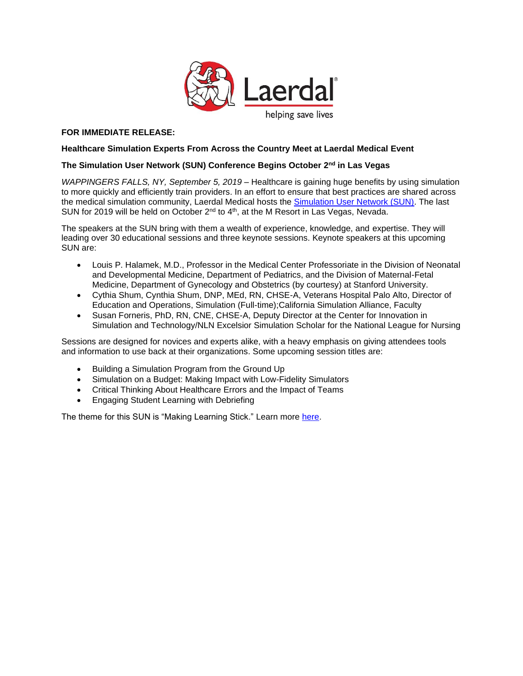

# **FOR IMMEDIATE RELEASE:**

#### **Healthcare Simulation Experts From Across the Country Meet at Laerdal Medical Event**

# **The Simulation User Network (SUN) Conference Begins October 2nd in Las Vegas**

*WAPPINGERS FALLS, NY, September 5, 2019* – Healthcare is gaining huge benefits by using simulation to more quickly and efficiently train providers. In an effort to ensure that best practices are shared across the medical simulation community, Laerdal Medical hosts the [Simulation User Network \(SUN\).](https://www.laerdal.com/us/learn/sun/?utm_source=PR%20Newswire&utm_medium=Press%20Release&utm_campaign=19-17797%20-%20Fall%20SUN%20Press%20Release&utm_content=Fall%20SUN%202019) The last SUN for 2019 will be held on October  $2^{nd}$  to  $4^{th}$ , at the M Resort in Las Vegas, Nevada.

The speakers at the SUN bring with them a wealth of experience, knowledge, and expertise. They will leading over 30 educational sessions and three keynote sessions. Keynote speakers at this upcoming SUN are:

- Louis P. Halamek, M.D., Professor in the Medical Center Professoriate in the Division of Neonatal and Developmental Medicine, Department of Pediatrics, and the Division of Maternal-Fetal Medicine, Department of Gynecology and Obstetrics (by courtesy) at Stanford University.
- Cythia Shum, Cynthia Shum, DNP, MEd, RN, CHSE-A, Veterans Hospital Palo Alto, Director of Education and Operations, Simulation (Full-time);California Simulation Alliance, Faculty
- Susan Forneris, PhD, RN, CNE, CHSE-A, Deputy Director at the Center for Innovation in Simulation and Technology/NLN Excelsior Simulation Scholar for the National League for Nursing

Sessions are designed for novices and experts alike, with a heavy emphasis on giving attendees tools and information to use back at their organizations. Some upcoming session titles are:

- Building a Simulation Program from the Ground Up
- Simulation on a Budget: Making Impact with Low-Fidelity Simulators
- Critical Thinking About Healthcare Errors and the Impact of Teams
- Engaging Student Learning with Debriefing

The theme for this SUN is "Making Learning Stick." Learn more [here.](https://www.laerdal.com/us/learn/sun/?utm_source=PR%20Newswire&utm_medium=Press%20Release&utm_campaign=19-17797%20-%20Fall%20SUN%20Press%20Release&utm_content=Fall%20SUN%202019)